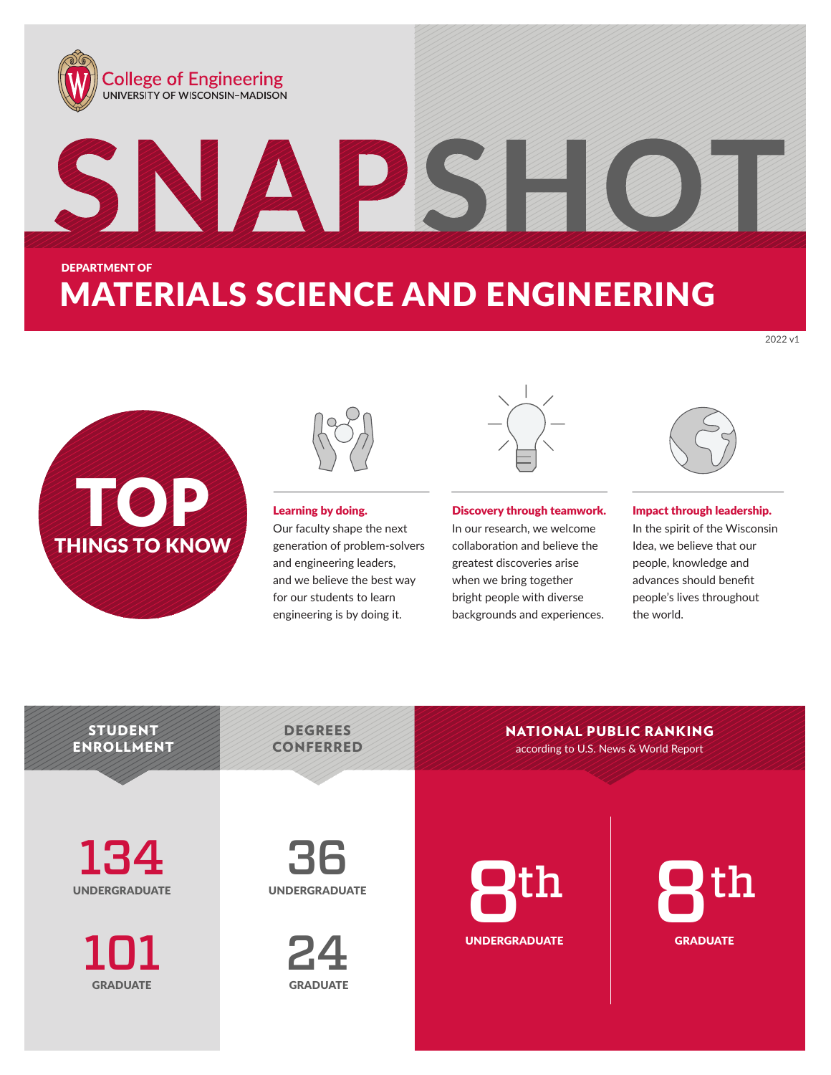

**TOP** THINGS TO KNOW



Learning by doing.

Our faculty shape the next generation of problem-solvers and engineering leaders, and we believe the best way for our students to learn engineering is by doing it.



Discovery through teamwork.

In our research, we welcome collaboration and believe the greatest discoveries arise when we bring together bright people with diverse backgrounds and experiences.



2022 v1

In the spirit of the Wisconsin Idea, we believe that our people, knowledge and advances should benefit people's lives throughout the world.